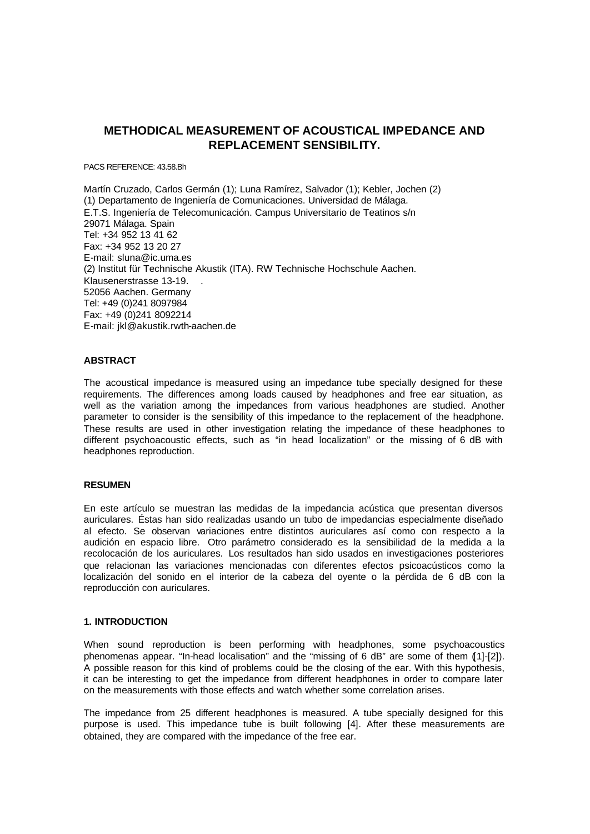# **METHODICAL MEASUREMENT OF ACOUSTICAL IMPEDANCE AND REPLACEMENT SENSIBILITY.**

PACS REFERENCE: 43.58.Bh

Martín Cruzado, Carlos Germán (1); Luna Ramírez, Salvador (1); Kebler, Jochen (2) (1) Departamento de Ingeniería de Comunicaciones. Universidad de Málaga. E.T.S. Ingeniería de Telecomunicación. Campus Universitario de Teatinos s/n 29071 Málaga. Spain Tel: +34 952 13 41 62 Fax: +34 952 13 20 27 E-mail: sluna@ic.uma.es (2) Institut für Technische Akustik (ITA). RW Technische Hochschule Aachen. Klausenerstrasse 13-19. 52056 Aachen. Germany Tel: +49 (0)241 8097984 Fax: +49 (0)241 8092214 E-mail: jkl@akustik.rwth-aachen.de

### **ABSTRACT**

The acoustical impedance is measured using an impedance tube specially designed for these requirements. The differences among loads caused by headphones and free ear situation, as well as the variation among the impedances from various headphones are studied. Another parameter to consider is the sensibility of this impedance to the replacement of the headphone. These results are used in other investigation relating the impedance of these headphones to different psychoacoustic effects, such as "in head localization" or the missing of 6 dB with headphones reproduction.

## **RESUMEN**

En este artículo se muestran las medidas de la impedancia acústica que presentan diversos auriculares. Éstas han sido realizadas usando un tubo de impedancias especialmente diseñado al efecto. Se observan variaciones entre distintos auriculares así como con respecto a la audición en espacio libre. Otro parámetro considerado es la sensibilidad de la medida a la recolocación de los auriculares. Los resultados han sido usados en investigaciones posteriores que relacionan las variaciones mencionadas con diferentes efectos psicoacústicos como la localización del sonido en el interior de la cabeza del oyente o la pérdida de 6 dB con la reproducción con auriculares.

### **1. INTRODUCTION**

When sound reproduction is been performing with headphones, some psychoacoustics phenomenas appear. "In-head localisation" and the "missing of 6 dB" are some of them ([1]-[2]). A possible reason for this kind of problems could be the closing of the ear. With this hypothesis, it can be interesting to get the impedance from different headphones in order to compare later on the measurements with those effects and watch whether some correlation arises.

The impedance from 25 different headphones is measured. A tube specially designed for this purpose is used. This impedance tube is built following [4]. After these measurements are obtained, they are compared with the impedance of the free ear.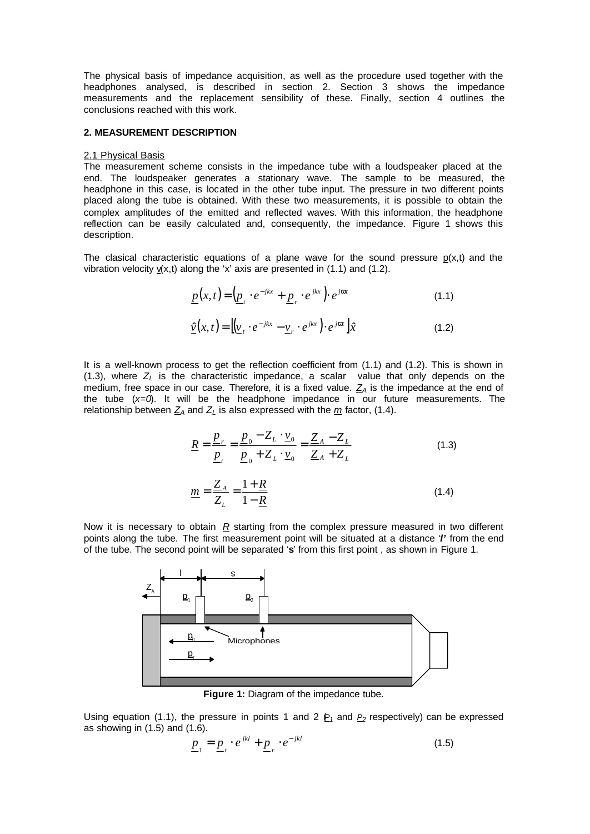The physical basis of impedance acquisition, as well as the procedure used together with the headphones analysed, is described in section 2. Section 3 shows the impedance measurements and the replacement sensibility of these. Finally, section 4 outlines the conclusions reached with this work.

### **2. MEASUREMENT DESCRIPTION**

#### 2.1 Physical Basis

The measurement scheme consists in the impedance tube with a loudspeaker placed at the end. The loudspeaker generates a stationary wave. The sample to be measured, the headphone in this case, is located in the other tube input. The pressure in two different points placed along the tube is obtained. With these two measurements, it is possible to obtain the complex amplitudes of the emitted and reflected waves. With this information, the headphone reflection can be easily calculated and, consequently, the impedance. Figure 1 shows this description.

The clasical characteristic equations of a plane wave for the sound pressure  $p(x,t)$  and the vibration velocity  $v(x,t)$  along the 'x' axis are presented in (1.1) and (1.2).

$$
\underline{p}(x,t) = \left(\underline{p}_t \cdot e^{-jkx} + \underline{p}_r \cdot e^{jkx}\right) \cdot e^{jvt} \tag{1.1}
$$

$$
\underline{\hat{\nu}}(x,t) = \left[ \underline{\nu}_t \cdot e^{-jkx} - \underline{\nu}_r \cdot e^{jkx} \right] \cdot e^{jvt} \, \hat{x} \tag{1.2}
$$

It is a well-known process to get the reflection coefficient from (1.1) and (1.2). This is shown in (1.3), where *Z<sup>L</sup>* is the characteristic impedance, a scalar value that only depends on the medium, free space in our case. Therefore, it is a fixed value.  $Z_A$  is the impedance at the end of the tube (*x=0*). It will be the headphone impedance in our future measurements. The relationship between  $Z_A$  and  $Z_L$  is also expressed with the  $m$  factor, (1.4).

$$
\underline{R} = \frac{\underline{p}_r}{\underline{p}_t} = \frac{\underline{p}_0 - Z_L \cdot \underline{v}_0}{\underline{p}_0 + Z_L \cdot \underline{v}_0} = \frac{\underline{Z}_A - Z_L}{\underline{Z}_A + Z_L}
$$
(1.3)  

$$
\underline{m} = \frac{\underline{Z}_A}{\underline{m}} = \frac{1 + \underline{R}}{1 - \underline{R}}
$$
(1.4)

Now it is necessary to obtain 
$$
\underline{R}
$$
 starting from the complex pressure measured in two different points along the tube. The first measurement point will be situated at a distance  $T$  from the end of the tube. The second point will be separated 's' from this first point, as shown in Figure 1.

*R*

−

1

*Z*

*L*



**Figure 1:** Diagram of the impedance tube.

Using equation (1.1), the pressure in points 1 and 2  $P_1$  and  $P_2$  respectively) can be expressed as showing in (1.5) and (1.6).

$$
\underline{p}_1 = \underline{p}_t \cdot e^{jkl} + \underline{p}_r \cdot e^{-jkl} \tag{1.5}
$$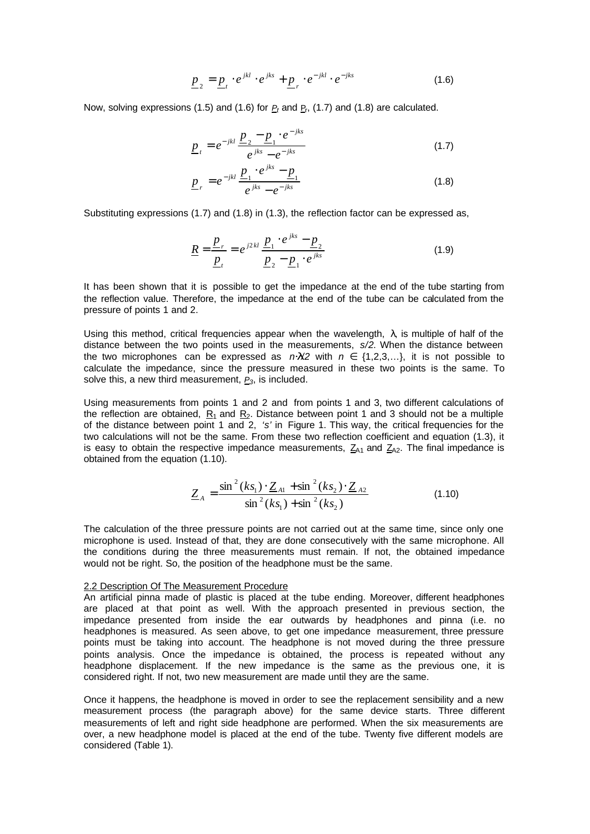$$
\underline{p}_2 = \underline{p}_t \cdot e^{jkl} \cdot e^{jks} + \underline{p}_r \cdot e^{-jkl} \cdot e^{-jks} \tag{1.6}
$$

Now, solving expressions (1.5) and (1.6) for  $P_t$  and  $P_r$ , (1.7) and (1.8) are calculated.

$$
\underline{p}_{t} = e^{-jkl} \frac{\underline{p}_{2} - \underline{p}_{1} \cdot e^{-jks}}{e^{jks} - e^{-jks}}
$$
\n(1.7)

$$
\underline{p}_r = e^{-jkl} \frac{\underline{p}_1 \cdot e^{jks} - \underline{p}_1}{e^{jks} - e^{-jks}}
$$
(1.8)

Substituting expressions (1.7) and (1.8) in (1.3), the reflection factor can be expressed as,

$$
\underline{R} = \frac{\underline{p}_r}{\underline{p}_t} = e^{j2kl} \frac{\underline{p}_1 \cdot e^{jks} - \underline{p}_2}{\underline{p}_2 - \underline{p}_1 \cdot e^{jks}}
$$
(1.9)

It has been shown that it is possible to get the impedance at the end of the tube starting from the reflection value. Therefore, the impedance at the end of the tube can be calculated from the pressure of points 1 and 2.

Using this method, critical frequencies appear when the wavelength,  $\lambda$  is multiple of half of the distance between the two points used in the measurements, *s/2*. When the distance between the two microphones can be expressed as  $n\frac{1}{2}$  with  $n \in \{1,2,3,...\}$ , it is not possible to calculate the impedance, since the pressure measured in these two points is the same. To solve this, a new third measurement, *P3*, is included.

Using measurements from points 1 and 2 and from points 1 and 3, two different calculations of the reflection are obtained,  $R_1$  and  $R_2$ . Distance between point 1 and 3 should not be a multiple of the distance between point 1 and 2, *'s'* in Figure 1. This way, the critical frequencies for the two calculations will not be the same. From these two reflection coefficient and equation (1.3), it is easy to obtain the respective impedance measurements,  $Z_{A1}$  and  $Z_{A2}$ . The final impedance is obtained from the equation (1.10).

$$
\underline{Z}_A = \frac{\sin^2(ks_1) \cdot \underline{Z}_{A1} + \sin^2(ks_2) \cdot \underline{Z}_{A2}}{\sin^2(ks_1) + \sin^2(ks_2)}
$$
(1.10)

The calculation of the three pressure points are not carried out at the same time, since only one microphone is used. Instead of that, they are done consecutively with the same microphone. All the conditions during the three measurements must remain. If not, the obtained impedance would not be right. So, the position of the headphone must be the same.

#### 2.2 Description Of The Measurement Procedure

An artificial pinna made of plastic is placed at the tube ending. Moreover, different headphones are placed at that point as well. With the approach presented in previous section, the impedance presented from inside the ear outwards by headphones and pinna (i.e. no headphones is measured. As seen above, to get one impedance measurement, three pressure points must be taking into account. The headphone is not moved during the three pressure points analysis. Once the impedance is obtained, the process is repeated without any headphone displacement. If the new impedance is the same as the previous one, it is considered right. If not, two new measurement are made until they are the same.

Once it happens, the headphone is moved in order to see the replacement sensibility and a new measurement process (the paragraph above) for the same device starts. Three different measurements of left and right side headphone are performed. When the six measurements are over, a new headphone model is placed at the end of the tube. Twenty five different models are considered (Table 1).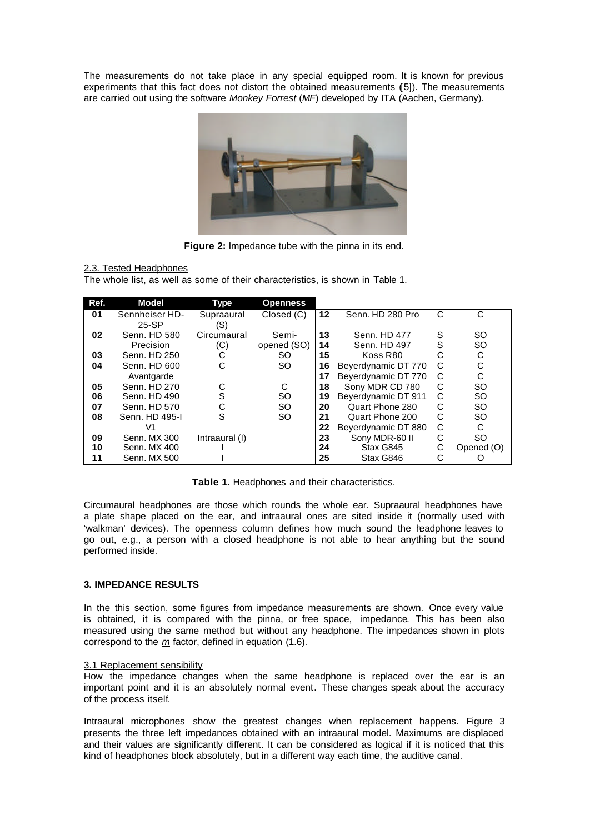The measurements do not take place in any special equipped room. It is known for previous experiments that this fact does not distort the obtained measurements (5). The measurements are carried out using the software *Monkey Forrest* (*MF*) developed by ITA (Aachen, Germany).



**Figure 2:** Impedance tube with the pinna in its end.

## 2.3. Tested Headphones

The whole list, as well as some of their characteristics, is shown in Table 1.

| Ref. | Model          | Type           | <b>Openness</b> |    |                     |   |            |
|------|----------------|----------------|-----------------|----|---------------------|---|------------|
| 01   | Sennheiser HD- | Supraaural     | Closed (C)      | 12 | Senn, HD 280 Pro    | C | C          |
|      | $25-SP$        | (S)            |                 |    |                     |   |            |
| 02   | Senn, HD 580   | Circumaural    | Semi-           | 13 | Senn, HD 477        | S | <b>SO</b>  |
|      | Precision      | (C)            | opened (SO)     | 14 | Senn, HD 497        | S | SO         |
| 03   | Senn, HD 250   | С              | <b>SO</b>       | 15 | Koss R80            | C | С          |
| 04   | Senn, HD 600   | С              | <b>SO</b>       | 16 | Beyerdynamic DT 770 | C | C          |
|      | Avantgarde     |                |                 | 17 | Beyerdynamic DT 770 | C | С          |
| 05   | Senn, HD 270   |                | C               | 18 | Sony MDR CD 780     | C | <b>SO</b>  |
| 06   | Senn, HD 490   | S              | <b>SO</b>       | 19 | Beyerdynamic DT 911 | C | <b>SO</b>  |
| 07   | Senn, HD 570   | С              | <b>SO</b>       | 20 | Quart Phone 280     | C | SO         |
| 08   | Senn, HD 495-I | S              | <b>SO</b>       | 21 | Quart Phone 200     | C | <b>SO</b>  |
|      | V1             |                |                 | 22 | Beyerdynamic DT 880 | C | C          |
| 09   | Senn, MX 300   | Intraaural (I) |                 | 23 | Sony MDR-60 II      | С | <b>SO</b>  |
| 10   | Senn, MX 400   |                |                 | 24 | Stax G845           | С | Opened (O) |
| 11   | Senn, MX 500   |                |                 | 25 | Stax G846           | С |            |

**Table 1.** Headphones and their characteristics.

Circumaural headphones are those which rounds the whole ear. Supraaural headphones have a plate shape placed on the ear, and intraaural ones are sited inside it (normally used with 'walkman' devices). The openness column defines how much sound the headphone leaves to go out, e.g., a person with a closed headphone is not able to hear anything but the sound performed inside.

## **3. IMPEDANCE RESULTS**

In the this section, some figures from impedance measurements are shown. Once every value is obtained, it is compared with the pinna, or free space, impedance. This has been also measured using the same method but without any headphone. The impedances shown in plots correspond to the *m* factor, defined in equation (1.6).

## 3.1 Replacement sensibility

How the impedance changes when the same headphone is replaced over the ear is an important point and it is an absolutely normal event. These changes speak about the accuracy of the process itself.

Intraaural microphones show the greatest changes when replacement happens. Figure 3 presents the three left impedances obtained with an intraaural model. Maximums are displaced and their values are significantly different. It can be considered as logical if it is noticed that this kind of headphones block absolutely, but in a different way each time, the auditive canal.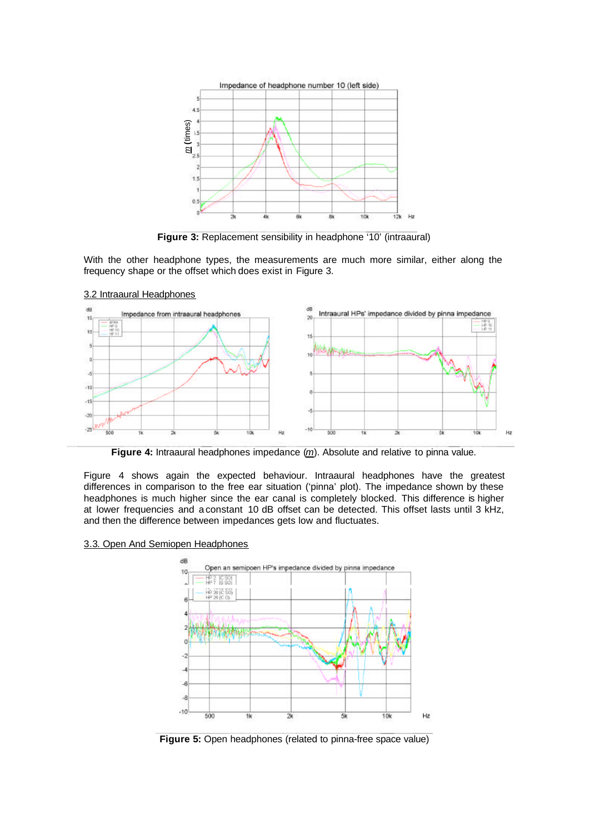

**Figure 3:** Replacement sensibility in headphone '10' (intraaural)

With the other headphone types, the measurements are much more similar, either along the frequency shape or the offset which does exist in Figure 3.



#### 3.2 Intraaural Headphones

**Figure 4:** Intraaural headphones impedance (*m*). Absolute and relative to pinna value.

Figure 4 shows again the expected behaviour. Intraaural headphones have the greatest differences in comparison to the free ear situation ('pinna' plot). The impedance shown by these headphones is much higher since the ear canal is completely blocked. This difference is higher at lower frequencies and a constant 10 dB offset can be detected. This offset lasts until 3 kHz, and then the difference between impedances gets low and fluctuates.

### 3.3. Open And Semiopen Headphones



**Figure 5:** Open headphones (related to pinna-free space value)